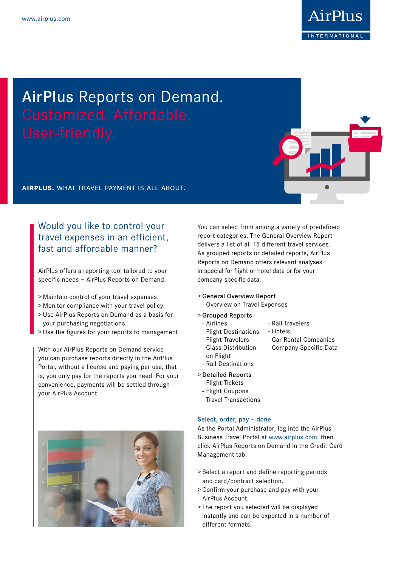

# AirPlus Reports on Demand.

**airplus.** what travel payment is all about.

## Would you like to control your travel expenses in an efficient, fast and affordable manner?

AirPlus offers a reporting tool tailored to your specific needs – AirPlus Reports on Demand.

- > Maintain control of your travel expenses.
- > Monitor compliance with your travel policy.
- > Use AirPlus Reports on Demand as a basis for your purchasing negotiations.
- > Use the figures for your reports to management.

With our AirPlus Reports on Demand service you can purchase reports directly in the AirPlus Portal, without a license and paying per use, that is, you only pay for the reports you need. For your convenience, payments will be settled through your AirPlus Account.



You can select from among a variety of predefined report categories. The General Overview Report delivers a list of all 15 different travel services. As grouped reports or detailed reports, AirPlus Reports on Demand offers relevant analyses in special for flight or hotel data or for your company-specific data:

> - Rail Travelers - Hotels

- Car Rental Companies - Company Specific Data

- > General Overview Report
- Overview on Travel Expenses

#### > Grouped Reports

- Airlines
- Flight Destinations
- Flight Travelers
- Class Distribution
- on Flight
- Rail Destinations

#### > Detailed Reports

- Flight Tickets
- Flight Coupons
- Travel Transactions

#### Select, order, pay – done

As the Portal Administrator, log into the AirPlus Business Travel Portal at www.airplus.com, then click AirPlus Reports on Demand in the Credit Card Management tab:

- > Select a report and define reporting periods and card/contract selection.
- > Confirm your purchase and pay with your AirPlus Account.
- > The report you selected will be displayed instantly and can be exported in a number of different formats.